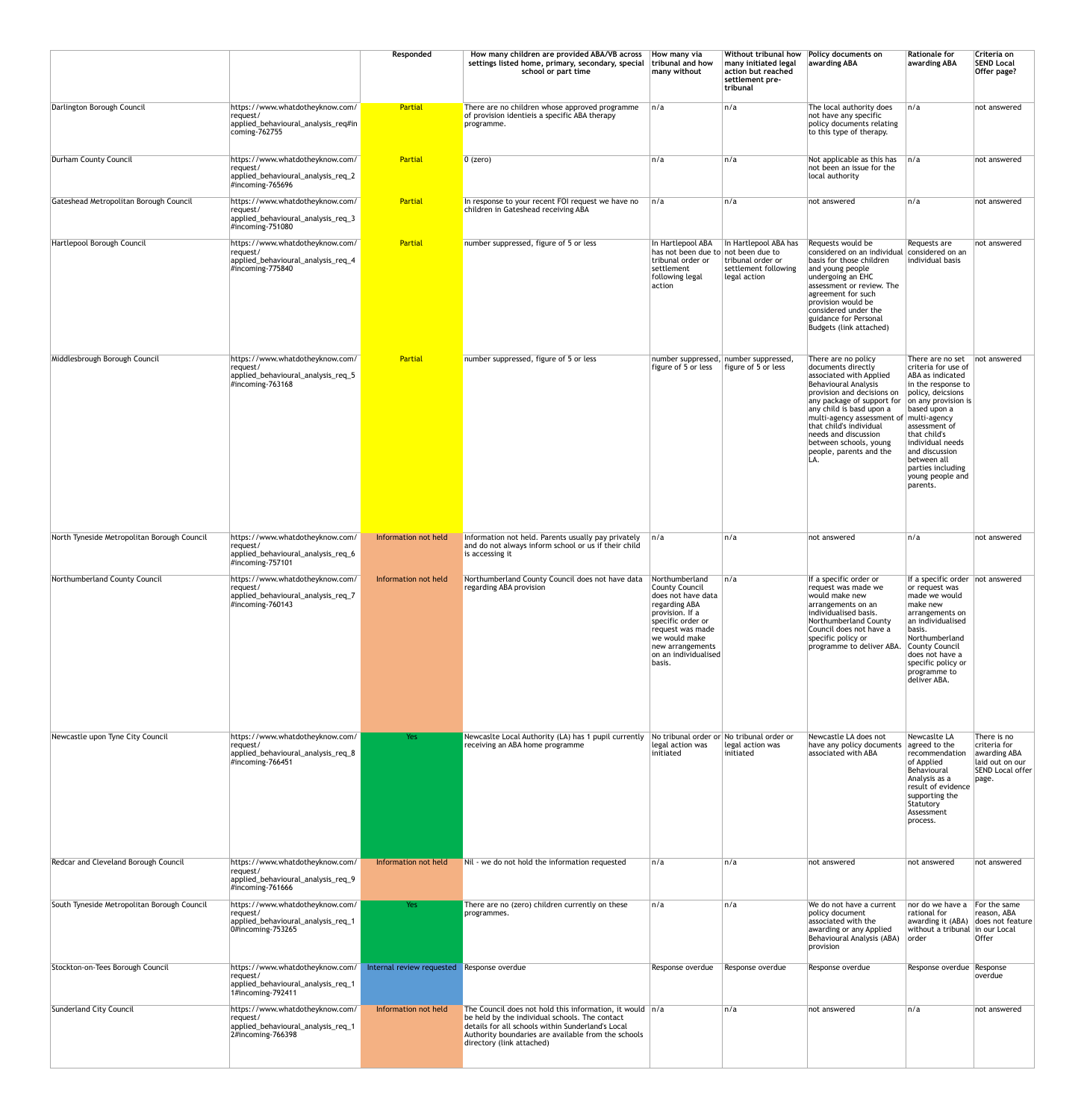|                                             |                                                                                                             | Responded                 | How many children are provided ABA/VB across<br>settings listed home, primary, secondary, special<br>school or part time                                                                                                                                | How many via<br>tribunal and how<br>many without                                                                                                                                                                  | Without tribunal how<br>many initiated legal<br>action but reached<br>settlement pre-<br>tribunal | Policy documents on<br>awarding ABA                                                                                                                                                                                                                                                                                                                                    | <b>Rationale for</b><br>awarding ABA                                                                                                                                                                                                                                                 | Criteria on<br><b>SEND Local</b><br>Offer page?                                                     |
|---------------------------------------------|-------------------------------------------------------------------------------------------------------------|---------------------------|---------------------------------------------------------------------------------------------------------------------------------------------------------------------------------------------------------------------------------------------------------|-------------------------------------------------------------------------------------------------------------------------------------------------------------------------------------------------------------------|---------------------------------------------------------------------------------------------------|------------------------------------------------------------------------------------------------------------------------------------------------------------------------------------------------------------------------------------------------------------------------------------------------------------------------------------------------------------------------|--------------------------------------------------------------------------------------------------------------------------------------------------------------------------------------------------------------------------------------------------------------------------------------|-----------------------------------------------------------------------------------------------------|
| Darlington Borough Council                  | https://www.whatdotheyknow.com/<br>request/<br>applied_behavioural_analysis_req#in<br>coming-762755         | Partial                   | There are no children whose approved programme<br>of provision identieis a specific ABA therapy<br>programme.                                                                                                                                           | n/a                                                                                                                                                                                                               | n/a                                                                                               | The local authority does<br>not have any specific<br>policy documents relating<br>to this type of therapy.                                                                                                                                                                                                                                                             | n/a                                                                                                                                                                                                                                                                                  | not answered                                                                                        |
| Durham County Council                       | https://www.whatdotheyknow.com/<br>request/<br>applied_behavioural_analysis_req_2<br>$\#$ incoming-765696   | Partial                   | $0$ (zero)                                                                                                                                                                                                                                              | n/a                                                                                                                                                                                                               | n/a                                                                                               | Not applicable as this has<br>not been an issue for the<br>local authority                                                                                                                                                                                                                                                                                             | $\ln/a$                                                                                                                                                                                                                                                                              | not answered                                                                                        |
| Gateshead Metropolitan Borough Council      | https://www.whatdotheyknow.com/<br>request/<br>applied_behavioural_analysis_req_3<br>#incoming-751080       | Partial                   | In response to your recent FOI request we have no<br>children in Gateshead receiving ABA                                                                                                                                                                | n/a                                                                                                                                                                                                               | ∣n/a                                                                                              | not answered                                                                                                                                                                                                                                                                                                                                                           | n/a                                                                                                                                                                                                                                                                                  | not answered                                                                                        |
| Hartlepool Borough Council                  | https://www.whatdotheyknow.com/<br>request/<br>applied_behavioural_analysis_req_4<br>$\#$ incoming-775840   | Partial                   | number suppressed, figure of 5 or less                                                                                                                                                                                                                  | In Hartlepool ABA<br>has not been due to not been due to<br>tribunal order or<br>settlement<br>following legal<br>action                                                                                          | In Hartlepool ABA has<br>tribunal order or<br>settlement following<br>legal action                | Requests would be<br>considered on an individual considered on an<br>basis for those children<br>and young people<br>undergoing an EHC<br>assessment or review. The<br>agreement for such<br>provision would be<br>considered under the<br>guidance for Personal<br>Budgets (link attached)                                                                            | Requests are<br>individual basis                                                                                                                                                                                                                                                     | not answered                                                                                        |
| Middlesbrough Borough Council               | https://www.whatdotheyknow.com/<br>request/<br>applied_behavioural_analysis_req_5<br>$\#$ incoming-763168   | Partial                   | number suppressed, figure of 5 or less                                                                                                                                                                                                                  | figure of 5 or less                                                                                                                                                                                               | number suppressed, number suppressed,<br>  figure of 5 or less                                    | There are no policy<br>documents directly<br>associated with Applied<br>Behavioural Analysis<br>provision and decisions on<br>any package of support for $ $ on any provision is<br>any child is basd upon a<br>multi-agency assessment of multi-agency<br>that child's individual<br>needs and discussion<br>between schools, young<br>people, parents and the<br>LA. | There are no set   not answered<br>criteria for use of<br>ABA as indicated<br>$ $ in the response to<br>policy, deicsions<br>based upon a<br>assessment of<br>that child's<br>individual needs<br>and discussion<br>between all<br>parties including<br>young people and<br>parents. |                                                                                                     |
| North Tyneside Metropolitan Borough Council | https://www.whatdotheyknow.com/<br>request/<br>applied_behavioural_analysis_req_6<br>$\#$ incoming-757101   | Information not held      | Information not held. Parents usually pay privately<br>and do not always inform school or us if their child<br>is accessing it                                                                                                                          | n/a                                                                                                                                                                                                               | ∣n/a                                                                                              | not answered                                                                                                                                                                                                                                                                                                                                                           | n/a                                                                                                                                                                                                                                                                                  | not answered                                                                                        |
| Northumberland County Council               | https://www.whatdotheyknow.com/<br>request/<br>applied_behavioural_analysis_req_7<br>$\#$ incoming-760143   | Information not held      | Northumberland County Council does not have data<br>regarding ABA provision                                                                                                                                                                             | Northumberland<br><b>County Council</b><br>does not have data<br>regarding ABA<br>provision. If a<br>specific order or<br>request was made<br>we would make<br>new arrangements<br>on an individualised<br>basis. | n/a                                                                                               | If a specific order or<br>request was made we<br>would make new<br>arrangements on an<br>individualised basis.<br>Northumberland County<br>Council does not have a<br>specific policy or<br>programme to deliver ABA.                                                                                                                                                  | If a specific order $ $ not answered<br>or request was<br>made we would<br>make new<br>arrangements on<br>an individualised<br>basis.<br>Northumberland<br>.   County Council<br>does not have a<br>specific policy or<br>programme to<br>deliver ABA.                               |                                                                                                     |
| Newcastle upon Tyne City Council            | https://www.whatdotheyknow.com/<br>request/<br>applied_behavioural_analysis_req_8<br>#incoming-766451       | Yes                       | Newcaslte Local Authority (LA) has 1 pupil currently<br>receiving an ABA home programme                                                                                                                                                                 | legal action was<br>initiated                                                                                                                                                                                     | No tribunal order or No tribunal order or<br>legal action was<br>initiated                        | Newcastle LA does not<br>have any policy documents<br>associated with ABA                                                                                                                                                                                                                                                                                              | Newcaslte LA<br>agreed to the<br>recommendation<br>of Applied<br>Behavioural<br>Analysis as a<br>result of evidence<br>supporting the<br>Statutory<br>Assessment<br>process.                                                                                                         | There is no<br>criteria for<br>awarding ABA<br>laid out on our<br>SEND Local offer<br>$\vert$ page. |
| Redcar and Cleveland Borough Council        | https://www.whatdotheyknow.com/<br>request/<br>applied_behavioural_analysis_req_9<br>#incoming-761666       | Information not held      | Nil - we do not hold the information requested                                                                                                                                                                                                          | ∣n/a                                                                                                                                                                                                              | ∣n/a                                                                                              | not answered                                                                                                                                                                                                                                                                                                                                                           | not answered                                                                                                                                                                                                                                                                         | not answered                                                                                        |
| South Tyneside Metropolitan Borough Council | https://www.whatdotheyknow.com/<br>request/<br>applied_behavioural_analysis_req_1<br>$0#$ incoming-753265   | Yes                       | There are no (zero) children currently on these<br>programmes.                                                                                                                                                                                          | n/a                                                                                                                                                                                                               | ∣n/a                                                                                              | We do not have a current<br>policy document<br>associated with the<br>awarding or any Applied<br>Behavioural Analysis (ABA)<br>provision                                                                                                                                                                                                                               | nor do we have a<br>rational for<br>$\vert$ awarding it (ABA) $\vert$ does not feature<br>without a tribunal in our Local<br>  order                                                                                                                                                 | For the same<br>reason, ABA<br><b>Offer</b>                                                         |
| Stockton-on-Tees Borough Council            | https://www.whatdotheyknow.com/<br>request/<br> applied_behavioural_analysis_req_1<br>$1\#$ incoming-792411 | Internal review requested | Response overdue                                                                                                                                                                                                                                        | Response overdue                                                                                                                                                                                                  | Response overdue                                                                                  | Response overdue                                                                                                                                                                                                                                                                                                                                                       | Response overdue Response                                                                                                                                                                                                                                                            | overdue                                                                                             |
| Sunderland City Council                     | https://www.whatdotheyknow.com/<br>request/<br>applied_behavioural_analysis_req_1<br>$2#$ incoming-766398   | Information not held      | The Council does not hold this information, it would $ n/a $<br>be held by the individual schools. The contact<br>details for all schools within Sunderland's Local<br>Authority boundaries are available from the schools<br>directory (link attached) |                                                                                                                                                                                                                   | n/a                                                                                               | not answered                                                                                                                                                                                                                                                                                                                                                           | n/a                                                                                                                                                                                                                                                                                  | not answered                                                                                        |